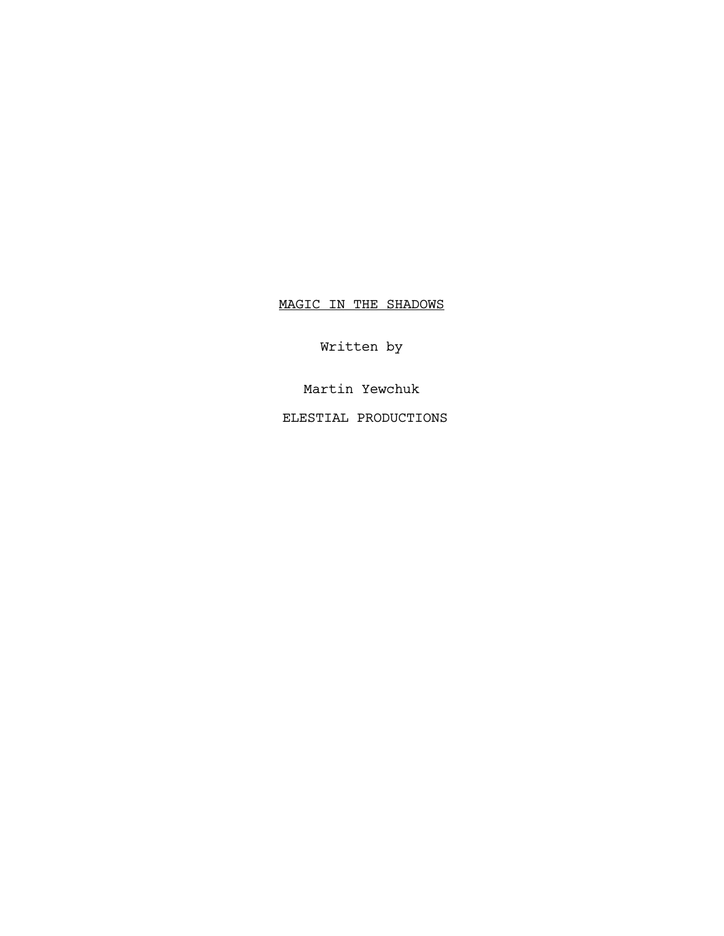# MAGIC IN THE SHADOWS

Written by

Martin Yewchuk

ELESTIAL PRODUCTIONS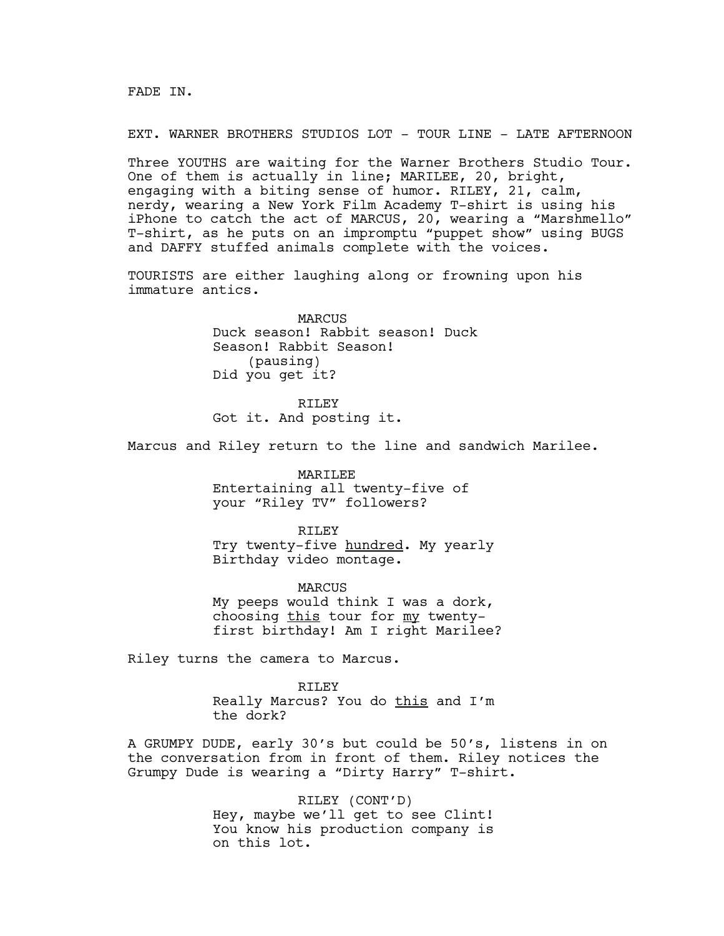FADE IN.

EXT. WARNER BROTHERS STUDIOS LOT - TOUR LINE - LATE AFTERNOON

Three YOUTHS are waiting for the Warner Brothers Studio Tour. One of them is actually in line; MARILEE, 20, bright, engaging with a biting sense of humor. RILEY, 21, calm, nerdy, wearing a New York Film Academy T-shirt is using his iPhone to catch the act of MARCUS, 20, wearing a "Marshmello" T-shirt, as he puts on an impromptu "puppet show" using BUGS and DAFFY stuffed animals complete with the voices.

TOURISTS are either laughing along or frowning upon his immature antics.

> MARCUS Duck season! Rabbit season! Duck Season! Rabbit Season! (pausing) Did you get it?

RTLEY Got it. And posting it.

Marcus and Riley return to the line and sandwich Marilee.

MARILEE Entertaining all twenty-five of your "Riley TV" followers?

RILEY Try twenty-five hundred. My yearly Birthday video montage.

MARCUS My peeps would think I was a dork, choosing this tour for my twentyfirst birthday! Am I right Marilee?

Riley turns the camera to Marcus.

RTLEY Really Marcus? You do this and I'm the dork?

A GRUMPY DUDE, early 30's but could be 50's, listens in on the conversation from in front of them. Riley notices the Grumpy Dude is wearing a "Dirty Harry" T-shirt.

> RILEY (CONT'D) Hey, maybe we'll get to see Clint! You know his production company is on this lot.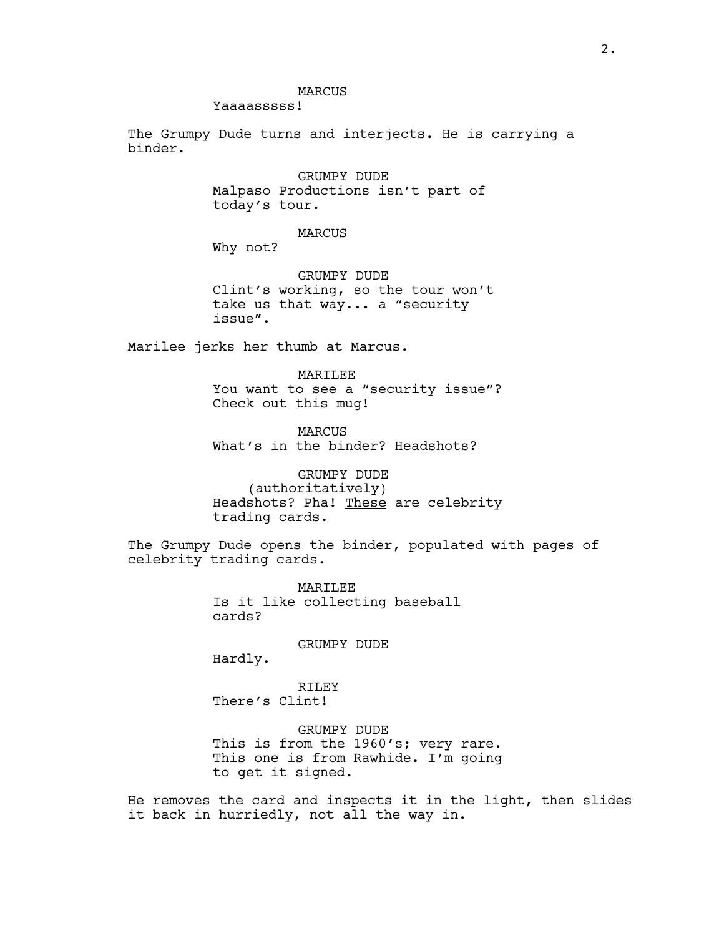Yaaaasssss!

The Grumpy Dude turns and interjects. He is carrying a binder.

> GRUMPY DUDE Malpaso Productions isn't part of today's tour.

> > MARCUS

Why not?

GRUMPY DUDE Clint's working, so the tour won't take us that way... a "security issue".

Marilee jerks her thumb at Marcus.

MARILEE You want to see a "security issue"? Check out this mug!

MARCUS What's in the binder? Headshots?

GRUMPY DUDE (authoritatively) Headshots? Pha! These are celebrity trading cards.

The Grumpy Dude opens the binder, populated with pages of celebrity trading cards.

> MARILEE Is it like collecting baseball cards?

> > GRUMPY DUDE

Hardly.

RILEY There's Clint!

GRUMPY DUDE This is from the 1960's; very rare. This one is from Rawhide. I'm going to get it signed.

He removes the card and inspects it in the light, then slides it back in hurriedly, not all the way in.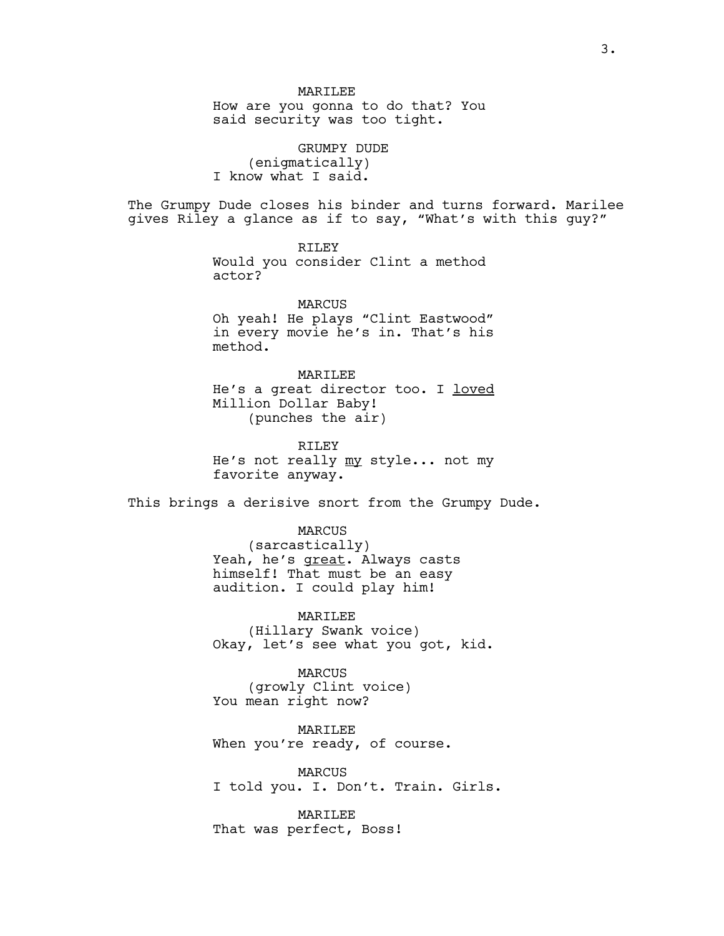How are you gonna to do that? You said security was too tight.

GRUMPY DUDE (enigmatically) I know what I said.

The Grumpy Dude closes his binder and turns forward. Marilee gives Riley a glance as if to say, "What's with this guy?"

> RILEY Would you consider Clint a method actor?

MARCUS Oh yeah! He plays "Clint Eastwood" in every movie he's in. That's his method.

MARILEE He's a great director too. I loved Million Dollar Baby! (punches the air)

RILEY He's not really my style... not my favorite anyway.

This brings a derisive snort from the Grumpy Dude.

MARCUS (sarcastically) Yeah, he's great. Always casts himself! That must be an easy audition. I could play him!

MARILEE (Hillary Swank voice) Okay, let's see what you got, kid.

MARCUS (growly Clint voice) You mean right now?

MARILEE When you're ready, of course.

MARCUS I told you. I. Don't. Train. Girls.

**MARTLEE** That was perfect, Boss!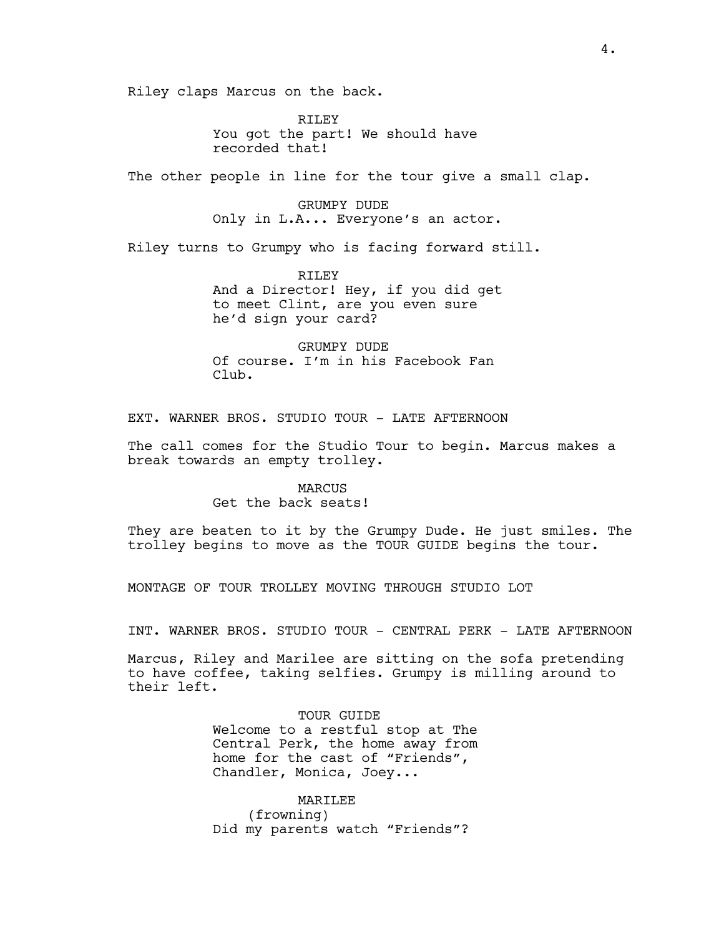Riley claps Marcus on the back.

RILEY You got the part! We should have recorded that!

The other people in line for the tour give a small clap.

GRUMPY DUDE Only in L.A... Everyone's an actor.

Riley turns to Grumpy who is facing forward still.

RTLEY And a Director! Hey, if you did get to meet Clint, are you even sure he'd sign your card?

GRUMPY DUDE Of course. I'm in his Facebook Fan Club.

EXT. WARNER BROS. STUDIO TOUR - LATE AFTERNOON

The call comes for the Studio Tour to begin. Marcus makes a break towards an empty trolley.

## MARCUS Get the back seats!

They are beaten to it by the Grumpy Dude. He just smiles. The trolley begins to move as the TOUR GUIDE begins the tour.

MONTAGE OF TOUR TROLLEY MOVING THROUGH STUDIO LOT

INT. WARNER BROS. STUDIO TOUR - CENTRAL PERK - LATE AFTERNOON

Marcus, Riley and Marilee are sitting on the sofa pretending to have coffee, taking selfies. Grumpy is milling around to their left.

> TOUR GUIDE Welcome to a restful stop at The Central Perk, the home away from home for the cast of "Friends", Chandler, Monica, Joey...

MARILEE (frowning) Did my parents watch "Friends"?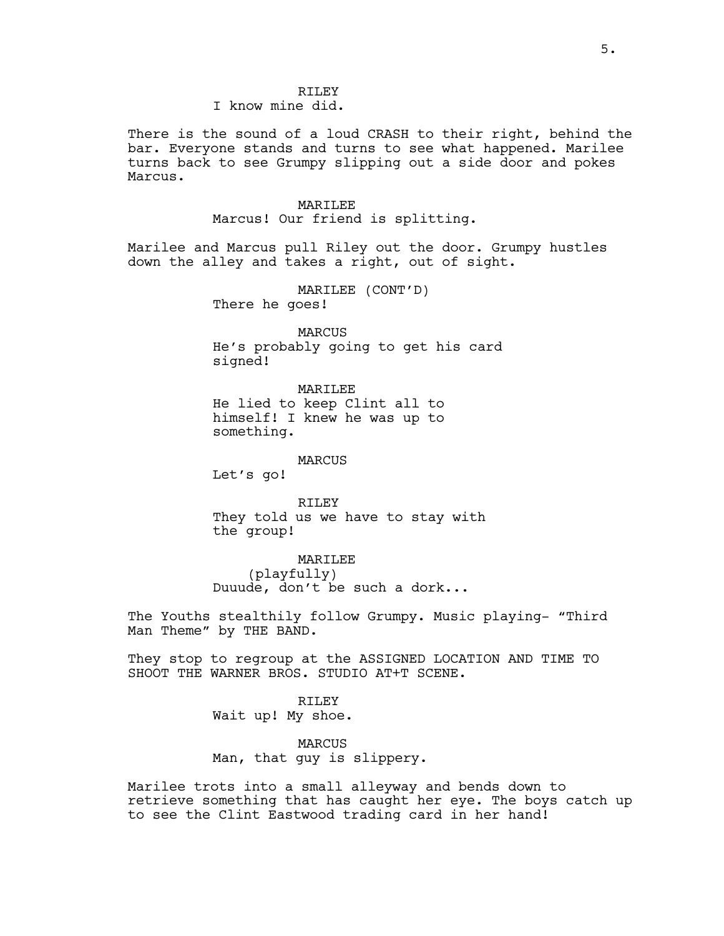### RTLEY I know mine did.

There is the sound of a loud CRASH to their right, behind the bar. Everyone stands and turns to see what happened. Marilee turns back to see Grumpy slipping out a side door and pokes Marcus.

## MARILEE

Marcus! Our friend is splitting.

Marilee and Marcus pull Riley out the door. Grumpy hustles down the alley and takes a right, out of sight.

> MARILEE (CONT'D) There he goes!

MARCUS He's probably going to get his card signed!

MARILEE He lied to keep Clint all to himself! I knew he was up to something.

#### MARCUS

Let's go!

RILEY They told us we have to stay with the group!

MARILEE (playfully) Duuude, don't be such a dork...

The Youths stealthily follow Grumpy. Music playing- "Third Man Theme" by THE BAND.

They stop to regroup at the ASSIGNED LOCATION AND TIME TO SHOOT THE WARNER BROS. STUDIO AT+T SCENE.

> RILEY Wait up! My shoe.

MARCUS Man, that guy is slippery.

Marilee trots into a small alleyway and bends down to retrieve something that has caught her eye. The boys catch up to see the Clint Eastwood trading card in her hand!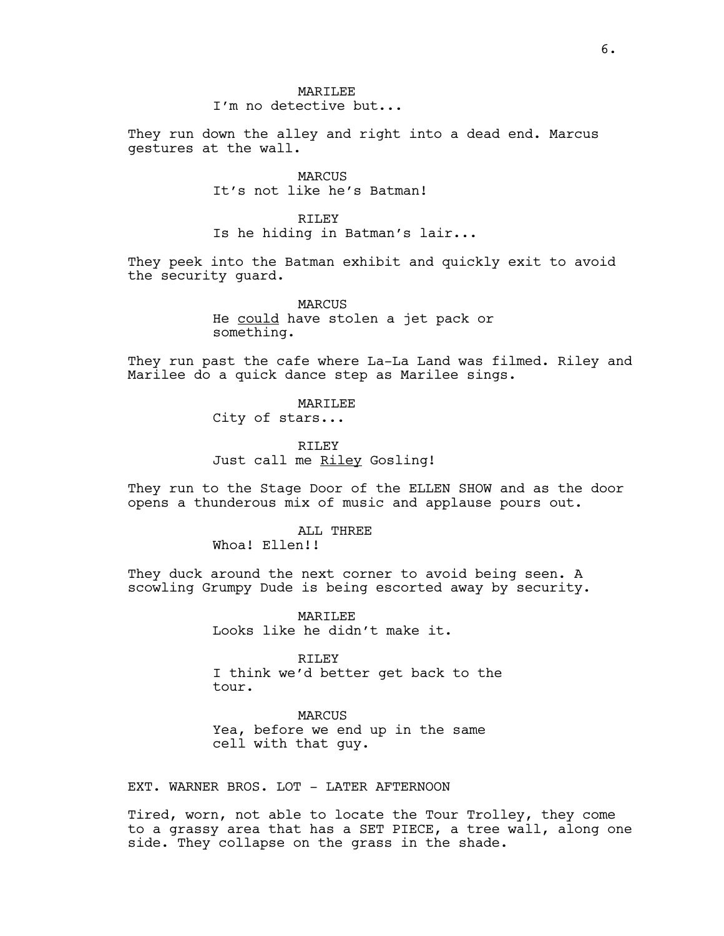## **MARTLEE** I'm no detective but...

They run down the alley and right into a dead end. Marcus gestures at the wall.

> MARCUS It's not like he's Batman!

RTLEY Is he hiding in Batman's lair...

They peek into the Batman exhibit and quickly exit to avoid the security guard.

> MARCUS He could have stolen a jet pack or something.

They run past the cafe where La-La Land was filmed. Riley and Marilee do a quick dance step as Marilee sings.

> MARILEE City of stars...

RILEY Just call me Riley Gosling!

They run to the Stage Door of the ELLEN SHOW and as the door opens a thunderous mix of music and applause pours out.

> ALL THREE Whoa! Ellen!!

They duck around the next corner to avoid being seen. A scowling Grumpy Dude is being escorted away by security.

> **MARTLEE** Looks like he didn't make it.

RILEY I think we'd better get back to the tour.

MARCUS Yea, before we end up in the same cell with that guy.

EXT. WARNER BROS. LOT - LATER AFTERNOON

Tired, worn, not able to locate the Tour Trolley, they come to a grassy area that has a SET PIECE, a tree wall, along one side. They collapse on the grass in the shade.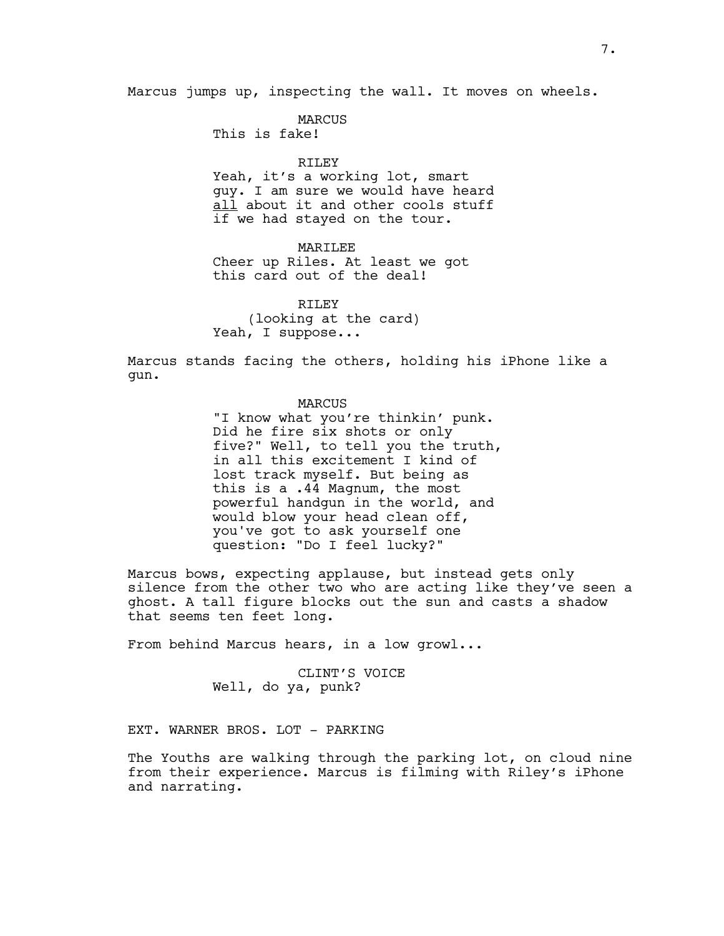Marcus jumps up, inspecting the wall. It moves on wheels.

MARCUS

This is fake!

## RILEY

Yeah, it's a working lot, smart guy. I am sure we would have heard all about it and other cools stuff if we had stayed on the tour.

## MARILEE

Cheer up Riles. At least we got this card out of the deal!

RTLEY (looking at the card) Yeah, I suppose...

Marcus stands facing the others, holding his iPhone like a gun.

### MARCUS

"I know what you're thinkin' punk. Did he fire six shots or only five?" Well, to tell you the truth, in all this excitement I kind of lost track myself. But being as this is a .44 Magnum, the most powerful handgun in the world, and would blow your head clean off, you've got to ask yourself one question: "Do I feel lucky?"

Marcus bows, expecting applause, but instead gets only silence from the other two who are acting like they've seen a ghost. A tall figure blocks out the sun and casts a shadow that seems ten feet long.

From behind Marcus hears, in a low growl...

CLINT'S VOICE Well, do ya, punk?

EXT. WARNER BROS. LOT - PARKING

The Youths are walking through the parking lot, on cloud nine from their experience. Marcus is filming with Riley's iPhone and narrating.